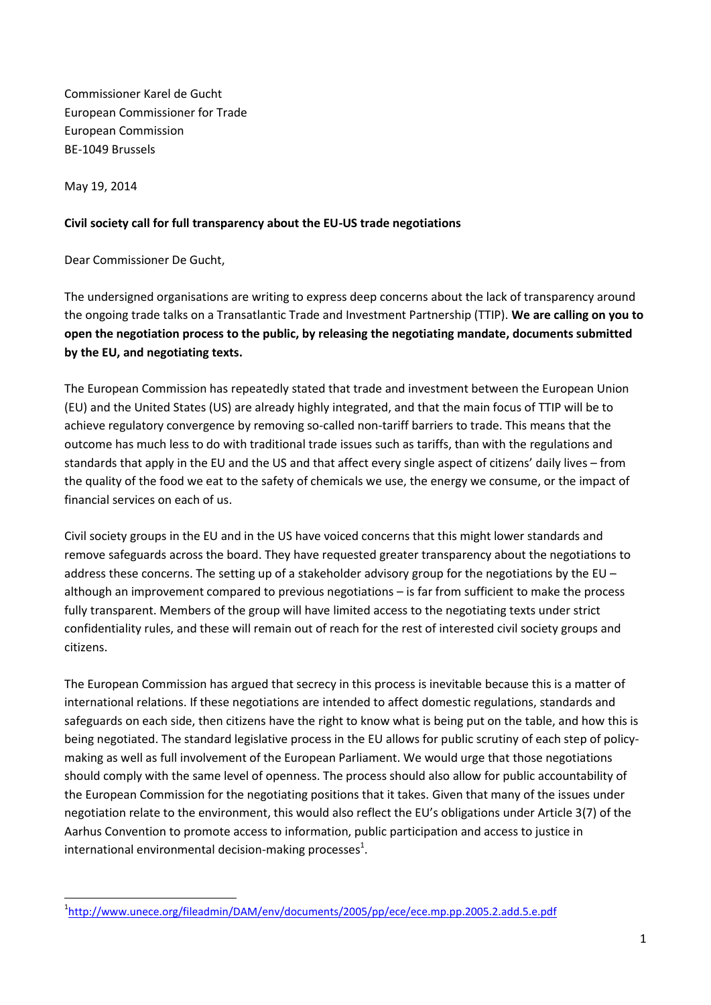Commissioner Karel de Gucht European Commissioner for Trade European Commission BE-1049 Brussels

May 19, 2014

## **Civil society call for full transparency about the EU-US trade negotiations**

Dear Commissioner De Gucht,

The undersigned organisations are writing to express deep concerns about the lack of transparency around the ongoing trade talks on a Transatlantic Trade and Investment Partnership (TTIP). **We are calling on you to open the negotiation process to the public, by releasing the negotiating mandate, documents submitted by the EU, and negotiating texts.** 

The European Commission has repeatedly stated that trade and investment between the European Union (EU) and the United States (US) are already highly integrated, and that the main focus of TTIP will be to achieve regulatory convergence by removing so-called non-tariff barriers to trade. This means that the outcome has much less to do with traditional trade issues such as tariffs, than with the regulations and standards that apply in the EU and the US and that affect every single aspect of citizens' daily lives – from the quality of the food we eat to the safety of chemicals we use, the energy we consume, or the impact of financial services on each of us.

Civil society groups in the EU and in the US have voiced concerns that this might lower standards and remove safeguards across the board. They have requested greater transparency about the negotiations to address these concerns. The setting up of a stakeholder advisory group for the negotiations by the EU – although an improvement compared to previous negotiations – is far from sufficient to make the process fully transparent. Members of the group will have limited access to the negotiating texts under strict confidentiality rules, and these will remain out of reach for the rest of interested civil society groups and citizens.

The European Commission has argued that secrecy in this process is inevitable because this is a matter of international relations. If these negotiations are intended to affect domestic regulations, standards and safeguards on each side, then citizens have the right to know what is being put on the table, and how this is being negotiated. The standard legislative process in the EU allows for public scrutiny of each step of policymaking as well as full involvement of the European Parliament. We would urge that those negotiations should comply with the same level of openness. The process should also allow for public accountability of the European Commission for the negotiating positions that it takes. Given that many of the issues under negotiation relate to the environment, this would also reflect the EU's obligations under Article 3(7) of the Aarhus Convention to promote access to information, public participation and access to justice in international environmental decision-making processes $^1$ .

**<sup>.</sup>** <sup>1</sup><http://www.unece.org/fileadmin/DAM/env/documents/2005/pp/ece/ece.mp.pp.2005.2.add.5.e.pdf>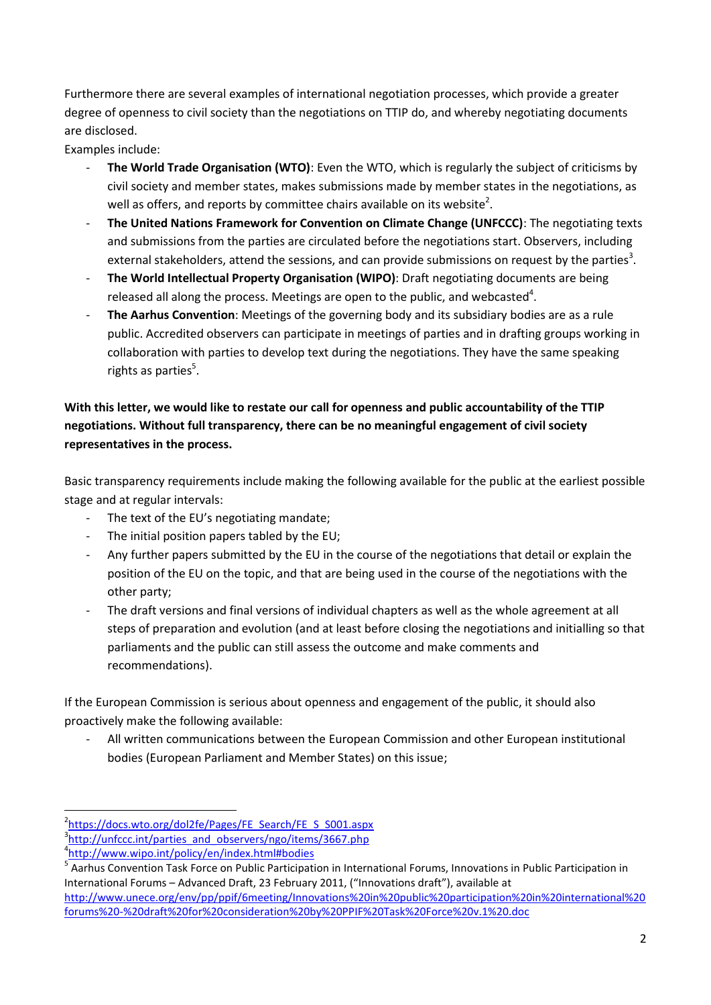Furthermore there are several examples of international negotiation processes, which provide a greater degree of openness to civil society than the negotiations on TTIP do, and whereby negotiating documents are disclosed.

Examples include:

- The World Trade Organisation (WTO): Even the WTO, which is regularly the subject of criticisms by civil society and member states, makes submissions made by member states in the negotiations, as well as offers, and reports by committee chairs available on its website<sup>2</sup>.
- **The United Nations Framework for Convention on Climate Change (UNFCCC)**: The negotiating texts and submissions from the parties are circulated before the negotiations start. Observers, including external stakeholders, attend the sessions, and can provide submissions on request by the parties<sup>3</sup>.
- **The World Intellectual Property Organisation (WIPO)**: Draft negotiating documents are being released all along the process. Meetings are open to the public, and webcasted<sup>4</sup>.
- **The Aarhus Convention**: Meetings of the governing body and its subsidiary bodies are as a rule public. Accredited observers can participate in meetings of parties and in drafting groups working in collaboration with parties to develop text during the negotiations. They have the same speaking rights as parties<sup>5</sup>.

# **With this letter, we would like to restate our call for openness and public accountability of the TTIP negotiations. Without full transparency, there can be no meaningful engagement of civil society representatives in the process.**

Basic transparency requirements include making the following available for the public at the earliest possible stage and at regular intervals:

- The text of the EU's negotiating mandate;
- The initial position papers tabled by the EU;
- Any further papers submitted by the EU in the course of the negotiations that detail or explain the position of the EU on the topic, and that are being used in the course of the negotiations with the other party;
- The draft versions and final versions of individual chapters as well as the whole agreement at all steps of preparation and evolution (and at least before closing the negotiations and initialling so that parliaments and the public can still assess the outcome and make comments and recommendations).

If the European Commission is serious about openness and engagement of the public, it should also proactively make the following available:

- All written communications between the European Commission and other European institutional bodies (European Parliament and Member States) on this issue;

 $\overline{\phantom{a}}$ <sup>2</sup>[https://docs.wto.org/dol2fe/Pages/FE\\_Search/FE\\_S\\_S001.aspx](https://docs.wto.org/dol2fe/Pages/FE_Search/FE_S_S001.aspx)

<sup>&</sup>lt;sup>3</sup>[http://unfccc.int/parties\\_and\\_observers/ngo/items/3667.php](http://unfccc.int/parties_and_observers/ngo/items/3667.php)

<sup>4</sup> <http://www.wipo.int/policy/en/index.html#bodies>

<sup>&</sup>lt;sup>5</sup> Aarhus Convention Task Force on Public Participation in International Forums, Innovations in Public Participation in International Forums – Advanced Draft, 23 February 2011, ("Innovations draft"), available at

[http://www.unece.org/env/pp/ppif/6meeting/Innovations%20in%20public%20participation%20in%20international%20](http://www.unece.org/env/pp/ppif/6meeting/Innovations%20in%20public%20participation%20in%20international%20forums%20-%20draft%20for%20consideration%20by%20PPIF%20Task%20Force%20v.1%20.doc) [forums%20-%20draft%20for%20consideration%20by%20PPIF%20Task%20Force%20v.1%20.doc](http://www.unece.org/env/pp/ppif/6meeting/Innovations%20in%20public%20participation%20in%20international%20forums%20-%20draft%20for%20consideration%20by%20PPIF%20Task%20Force%20v.1%20.doc)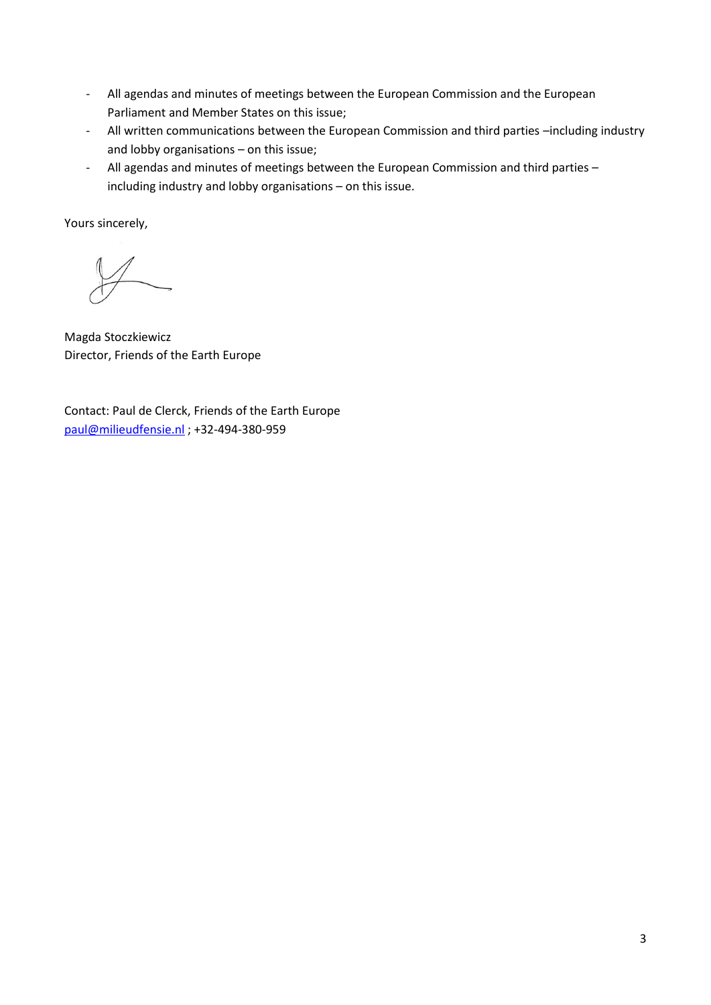- All agendas and minutes of meetings between the European Commission and the European Parliament and Member States on this issue;
- All written communications between the European Commission and third parties –including industry and lobby organisations – on this issue;
- All agendas and minutes of meetings between the European Commission and third parties including industry and lobby organisations – on this issue.

Yours sincerely,

Magda Stoczkiewicz Director, Friends of the Earth Europe

Contact: Paul de Clerck, Friends of the Earth Europe [paul@milieudfensie.nl](mailto:paul@milieudfensie.nl) ; +32-494-380-959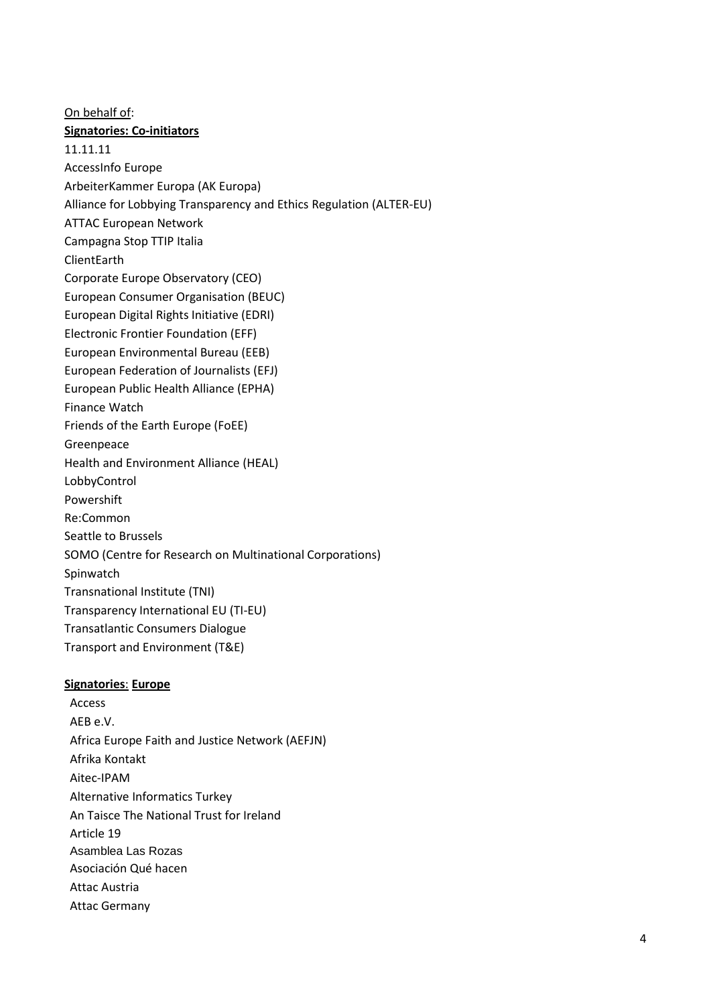On behalf of: **Signatories: Co-initiators** 11.11.11 AccessInfo Europe ArbeiterKammer Europa (AK Europa) Alliance for Lobbying Transparency and Ethics Regulation (ALTER-EU) ATTAC European Network Campagna Stop TTIP Italia **ClientEarth** Corporate Europe Observatory (CEO) European Consumer Organisation (BEUC) European Digital Rights Initiative (EDRI) Electronic Frontier Foundation (EFF) European Environmental Bureau (EEB) European Federation of Journalists (EFJ) European Public Health Alliance (EPHA) Finance Watch Friends of the Earth Europe (FoEE) Greenpeace Health and Environment Alliance (HEAL) LobbyControl Powershift Re:Common Seattle to Brussels SOMO (Centre for Research on Multinational Corporations) Spinwatch Transnational Institute (TNI) Transparency International EU (TI-EU) Transatlantic Consumers Dialogue Transport and Environment (T&E)

## **Signatories**: **Europe**

Access AEB e.V. Africa Europe Faith and Justice Network (AEFJN) Afrika Kontakt Aitec-IPAM Alternative Informatics Turkey An Taisce The National Trust for Ireland Article 19 Asamblea Las Rozas Asociación Qué hacen Attac Austria Attac Germany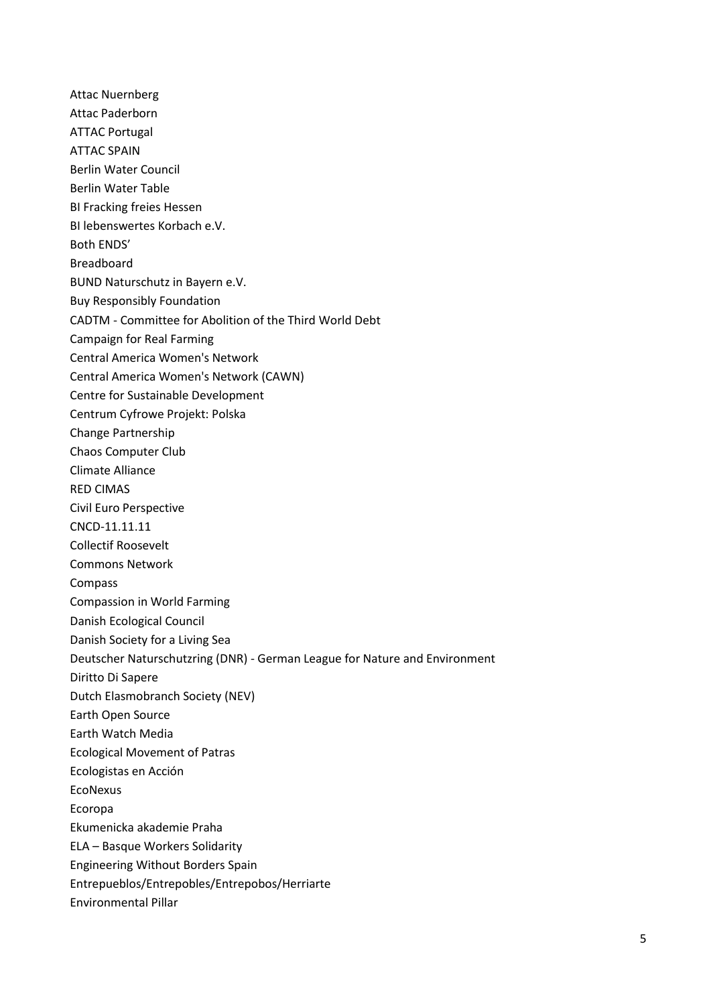Attac Nuernberg Attac Paderborn ATTAC Portugal ATTAC SPAIN Berlin Water Council Berlin Water Table BI Fracking freies Hessen BI lebenswertes Korbach e.V. Both ENDS' Breadboard BUND Naturschutz in Bayern e.V. Buy Responsibly Foundation CADTM - Committee for Abolition of the Third World Debt Campaign for Real Farming Central America Women's Network Central America Women's Network (CAWN) Centre for Sustainable Development Centrum Cyfrowe Projekt: Polska Change Partnership Chaos Computer Club Climate Alliance RED CIMAS Civil Euro Perspective CNCD-11.11.11 Collectif Roosevelt Commons Network Compass Compassion in World Farming Danish Ecological Council Danish Society for a Living Sea Deutscher Naturschutzring (DNR) - German League for Nature and Environment Diritto Di Sapere Dutch Elasmobranch Society (NEV) Earth Open Source Earth Watch Media Ecological Movement of Patras Ecologistas en Acción EcoNexus Ecoropa Ekumenicka akademie Praha ELA – Basque Workers Solidarity Engineering Without Borders Spain Entrepueblos/Entrepobles/Entrepobos/Herriarte Environmental Pillar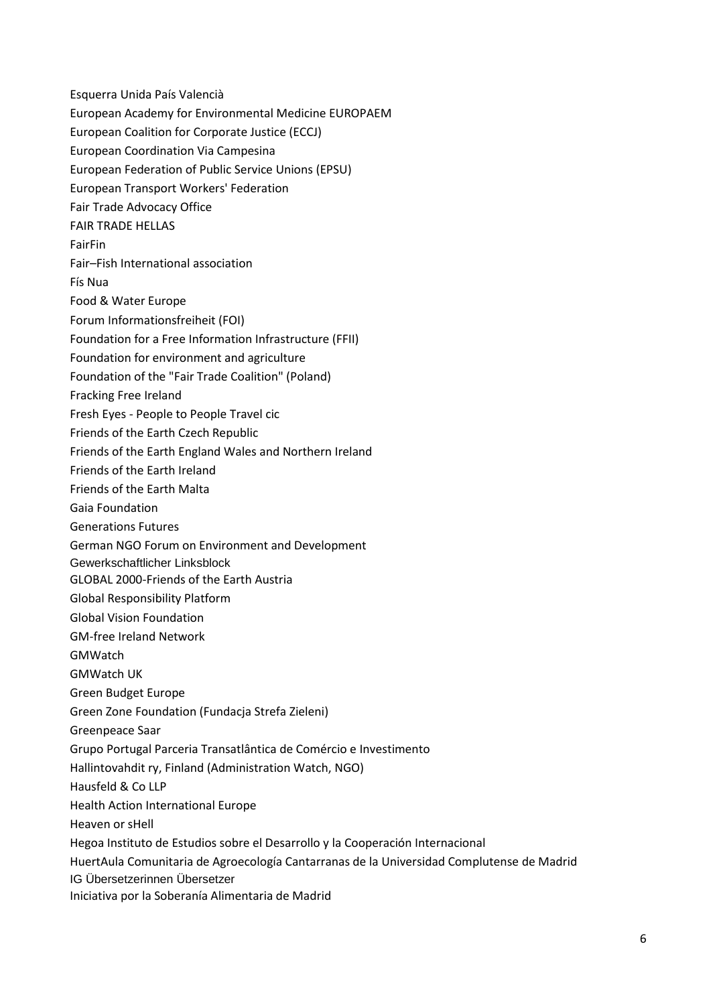Esquerra Unida País Valencià European Academy for Environmental Medicine EUROPAEM European Coalition for Corporate Justice (ECCJ) European Coordination Via Campesina European Federation of Public Service Unions (EPSU) European Transport Workers' Federation Fair Trade Advocacy Office FAIR TRADE HELLAS FairFin Fair–Fish International association Fís Nua Food & Water Europe Forum Informationsfreiheit (FOI) Foundation for a Free Information Infrastructure (FFII) Foundation for environment and agriculture Foundation of the "Fair Trade Coalition" (Poland) Fracking Free Ireland Fresh Eyes - People to People Travel cic Friends of the Earth Czech Republic Friends of the Earth England Wales and Northern Ireland Friends of the Earth Ireland Friends of the Earth Malta Gaia Foundation Generations Futures German NGO Forum on Environment and Development Gewerkschaftlicher Linksblock GLOBAL 2000-Friends of the Earth Austria Global Responsibility Platform Global Vision Foundation GM-free Ireland Network GMWatch GMWatch UK Green Budget Europe Green Zone Foundation (Fundacja Strefa Zieleni) Greenpeace Saar Grupo Portugal Parceria Transatlântica de Comércio e Investimento Hallintovahdit ry, Finland (Administration Watch, NGO) Hausfeld & Co LLP Health Action International Europe Heaven or sHell Hegoa Instituto de Estudios sobre el Desarrollo y la Cooperación Internacional HuertAula Comunitaria de Agroecología Cantarranas de la Universidad Complutense de Madrid IG Übersetzerinnen Übersetzer Iniciativa por la Soberanía Alimentaria de Madrid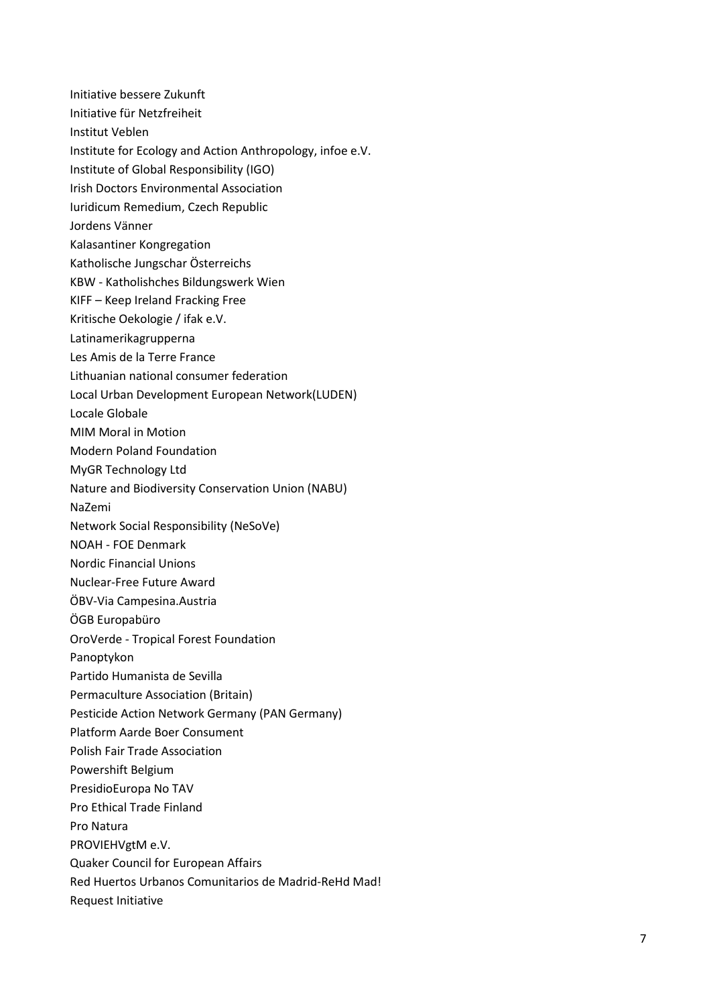Initiative bessere Zukunft

- Initiative für Netzfreiheit
- Institut Veblen
- Institute for Ecology and Action Anthropology, infoe e.V.
- Institute of Global Responsibility (IGO)
- Irish Doctors Environmental Association
- Iuridicum Remedium, Czech Republic
- Jordens Vänner
- Kalasantiner Kongregation
- Katholische Jungschar Österreichs
- KBW Katholishches Bildungswerk Wien
- KIFF Keep Ireland Fracking Free
- Kritische Oekologie / ifak e.V.
- Latinamerikagrupperna
- Les Amis de la Terre France
- Lithuanian national consumer federation
- Local Urban Development European Network(LUDEN)
- Locale Globale
- MIM Moral in Motion
- Modern Poland Foundation
- MyGR Technology Ltd
- Nature and Biodiversity Conservation Union (NABU)
- NaZemi
- Network Social Responsibility (NeSoVe)
- NOAH FOE Denmark
- Nordic Financial Unions
- Nuclear -Free Future Award
- ÖBV -Via Campesina.Austria
- ÖGB Europabüro
- OroVerde Tropical Forest Foundation
- Panoptykon
- Partido Humanista de Sevilla
- Permaculture Association (Britain)
- Pesticide Action Network Germany (PAN Germany)
- Platform Aarde Boer Consument
- Polish Fair Trade Association
- Powershift Belgium
- PresidioEuropa No TAV
- Pro Ethical Trade Finland
- Pro Natura
- PROVIEHVgtM e.V.
- Quaker Council for European Affairs
- Red Huertos Urbanos Comunitarios de Madrid -ReHd Mad!
- Request Initiative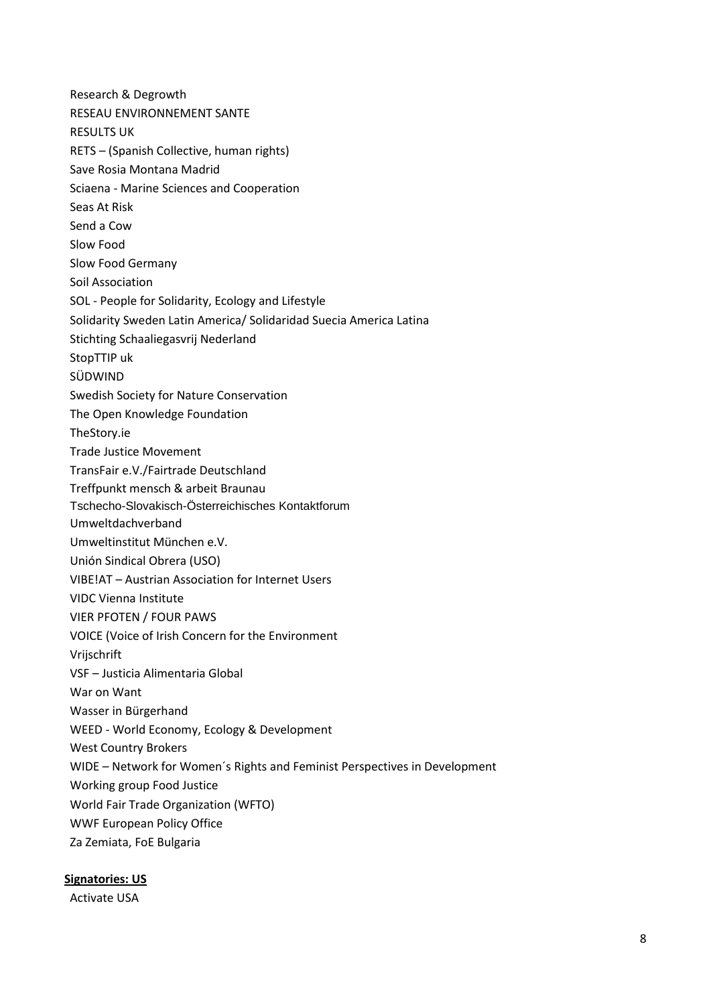Research & Degrowth RESEAU ENVIRONNEMENT SANTE RESULTS UK RETS – (Spanish Collective, human rights) Save Rosia Montana Madrid Sciaena - Marine Sciences and Cooperation Seas At Risk Send a Cow Slow Food Slow Food Germany Soil Association SOL - People for Solidarity, Ecology and Lifestyle Solidarity Sweden Latin America/ Solidaridad Suecia America Latina Stichting Schaaliegasvrij Nederland StopTTIP uk SÜDWIND Swedish Society for Nature Conservation The Open Knowledge Foundation TheStory.ie Trade Justice Movement TransFair e.V./Fairtrade Deutschland Treffpunkt mensch & arbeit Braunau Tschecho-Slovakisch-Österreichisches Kontaktforum Umweltdachverband Umweltinstitut München e.V. Unión Sindical Obrera (USO) VIBE!AT – Austrian Association for Internet Users VIDC Vienna Institute VIER PFOTEN / FOUR PAWS VOICE (Voice of Irish Concern for the Environment Vrijschrift VSF – Justicia Alimentaria Global War on Want Wasser in Bürgerhand WEED - World Economy, Ecology & Development West Country Brokers WIDE – Network for Women´s Rights and Feminist Perspectives in Development Working group Food Justice World Fair Trade Organization (WFTO) WWF European Policy Office Za Zemiata, FoE Bulgaria

**Signatories: US**

Activate USA